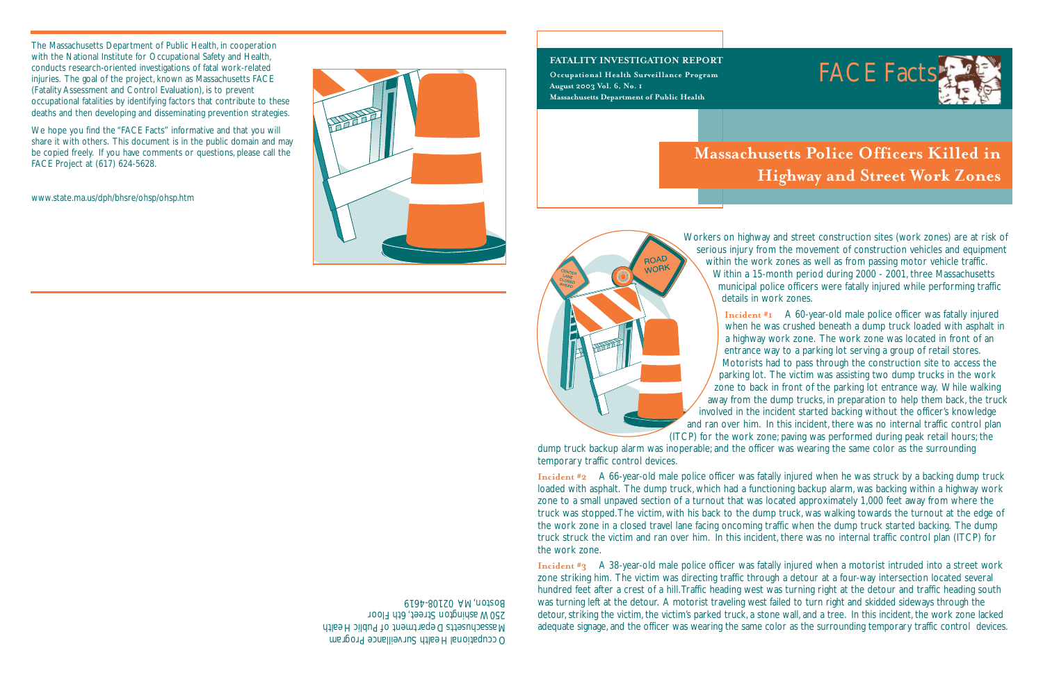Occupational Health Surveillance Program Massachusetts Department of Public Health 250 Washington Street, 6th Floor Boston, MA 02108-4619

#### **FATALITY INVESTIGATION REPORT**

**Occupational Health Surveillance Program August 2003 Vol. 6, No. 1 Massachusetts Department of Public Health**





## **Massachusetts Police Officers Killed in Highway and Street Work Zones**

Workers on highway and street construction sites (work zones) are at risk of serious injury from the movement of construction vehicles and equipment within the work zones as well as from passing motor vehicle traffic. Within a 15-month period during 2000 - 2001, three Massachusetts municipal police officers were fatally injured while performing traffic details in work zones.

**Incident #1** A 60-year-old male police officer was fatally injured when he was crushed beneath a dump truck loaded with asphalt in a highway work zone. The work zone was located in front of an entrance way to a parking lot serving a group of retail stores. Motorists had to pass through the construction site to access the parking lot. The victim was assisting two dump trucks in the work zone to back in front of the parking lot entrance way. While walking away from the dump trucks, in preparation to help them back, the truck involved in the incident started backing without the officer's knowledge and ran over him. In this incident, there was no internal traffic control plan (ITCP) for the work zone; paving was performed during peak retail hours; the dump truck backup alarm was inoperable; and the officer was wearing the same color as the surrounding

temporary traffic control devices.

ROAD WORK

**Incident #2** A 66-year-old male police officer was fatally injured when he was struck by a backing dump truck loaded with asphalt. The dump truck, which had a functioning backup alarm, was backing within a highway work zone to a small unpaved section of a turnout that was located approximately 1,000 feet away from where the truck was stopped.The victim, with his back to the dump truck, was walking towards the turnout at the edge of the work zone in a closed travel lane facing oncoming traffic when the dump truck started backing. The dump truck struck the victim and ran over him. In this incident, there was no internal traffic control plan (ITCP) for the work zone.

**Incident #3** A 38-year-old male police officer was fatally injured when a motorist intruded into a street work zone striking him. The victim was directing traffic through a detour at a four-way intersection located several hundred feet after a crest of a hill.Traffic heading west was turning right at the detour and traffic heading south was turning left at the detour. A motorist traveling west failed to turn right and skidded sideways through the detour, striking the victim, the victim's parked truck, a stone wall, and a tree. In this incident, the work zone lacked adequate signage, and the officer was wearing the same color as the surrounding temporary traffic control devices.

The Massachusetts Department of Public Health, in cooperation with the National Institute for Occupational Safety and Health, conducts research-oriented investigations of fatal work-related injuries. The goal of the project, known as Massachusetts FACE (Fatality Assessment and Control Evaluation), is to prevent occupational fatalities by identifying factors that contribute to these deaths and then developing and disseminating prevention strategies.

We hope you find the "FACE Facts" informative and that you will share it with others. This document is in the public domain and may be copied freely. If you have comments or questions, please call the FACE Project at (617) 624-5628.

www.state.ma.us/dph/bhsre/ohsp/ohsp.htm